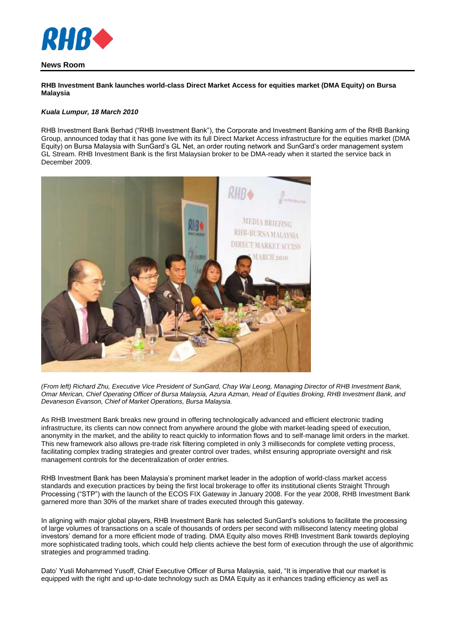

## **News Room**

**RHB Investment Bank launches world-class Direct Market Access for equities market (DMA Equity) on Bursa Malaysia**

#### *Kuala Lumpur, 18 March 2010*

RHB Investment Bank Berhad ("RHB Investment Bank"), the Corporate and Investment Banking arm of the RHB Banking Group, announced today that it has gone live with its full Direct Market Access infrastructure for the equities market (DMA Equity) on Bursa Malaysia with SunGard's GL Net, an order routing network and SunGard's order management system GL Stream. RHB Investment Bank is the first Malaysian broker to be DMA-ready when it started the service back in December 2009.



*(From left) Richard Zhu, Executive Vice President of SunGard, Chay Wai Leong, Managing Director of RHB Investment Bank, Omar Merican, Chief Operating Officer of Bursa Malaysia, Azura Azman, Head of Equities Broking, RHB Investment Bank, and Devaneson Evanson, Chief of Market Operations, Bursa Malaysia.*

As RHB Investment Bank breaks new ground in offering technologically advanced and efficient electronic trading infrastructure, its clients can now connect from anywhere around the globe with market-leading speed of execution, anonymity in the market, and the ability to react quickly to information flows and to self-manage limit orders in the market. This new framework also allows pre-trade risk filtering completed in only 3 milliseconds for complete vetting process, facilitating complex trading strategies and greater control over trades, whilst ensuring appropriate oversight and risk management controls for the decentralization of order entries.

RHB Investment Bank has been Malaysia's prominent market leader in the adoption of world-class market access standards and execution practices by being the first local brokerage to offer its institutional clients Straight Through Processing ("STP") with the launch of the ECOS FIX Gateway in January 2008. For the year 2008, RHB Investment Bank garnered more than 30% of the market share of trades executed through this gateway.

In aligning with major global players, RHB Investment Bank has selected SunGard's solutions to facilitate the processing of large volumes of transactions on a scale of thousands of orders per second with millisecond latency meeting global investors' demand for a more efficient mode of trading. DMA Equity also moves RHB Investment Bank towards deploying more sophisticated trading tools, which could help clients achieve the best form of execution through the use of algorithmic strategies and programmed trading.

Dato' Yusli Mohammed Yusoff, Chief Executive Officer of Bursa Malaysia, said, "It is imperative that our market is equipped with the right and up-to-date technology such as DMA Equity as it enhances trading efficiency as well as